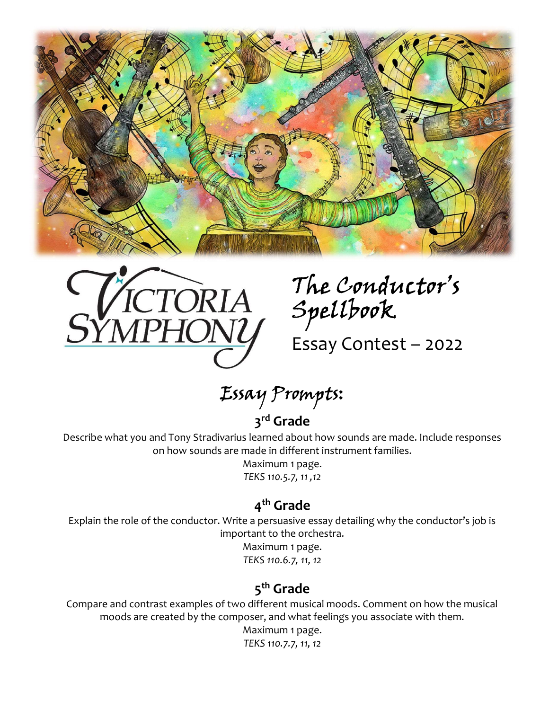



Spellbook The Conductor's

Essay Contest – 2022

Essay Prompts:

### 3<sup>rd</sup> Grade

Describe what you and Tony Stradivarius learned about how sounds are made. Include responses on how sounds are made in different instrument families.

> Maximum 1 page. TEKS 110.5.7, 11 ,12

### 4<sup>th</sup> Grade

Explain the role of the conductor. Write a persuasive essay detailing why the conductor's job is important to the orchestra.

> Maximum 1 page. TEKS 110.6.7, 11, 12

## 5<sup>th</sup> Grade

Compare and contrast examples of two different musical moods. Comment on how the musical moods are created by the composer, and what feelings you associate with them.

Maximum 1 page.

TEKS 110.7.7, 11, 12